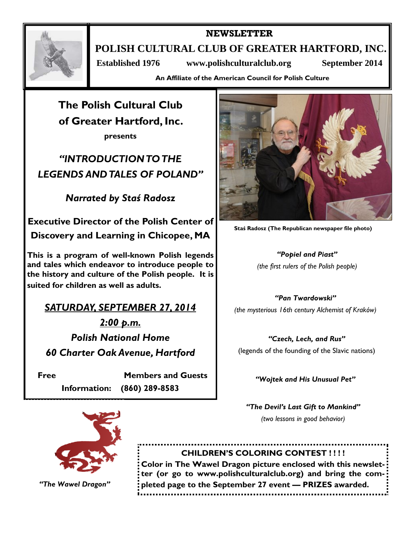

**NEWSLETTER** 

**POLISH CULTURAL CLUB OF GREATER HARTFORD, INC.** 

 **Established 1976 www.polishculturalclub.org September 2014** 

**An Affiliate of the American Council for Polish Culture** 

**The Polish Cultural Club of Greater Hartford, Inc.** 

**presents** 

*"INTRODUCTION TO THE LEGENDS AND TALES OF POLAND"* 

*Narrated by Staś Radosz* 

**Executive Director of the Polish Center of** 

**Discovery and Learning in Chicopee, MA** 

**This is a program of well-known Polish legends and tales which endeavor to introduce people to the history and culture of the Polish people. It is suited for children as well as adults.** 

*SATURDAY, SEPTEMBER 27, 2014* 

*2:00 p.m. Polish National Home 60 Charter Oak Avenue, Hartford* 

**Free Members and Guests Information: (860) 289-8583** 



**Staś Radosz (The Republican newspaper file photo)** 

*"Popiel and Piast" (the first rulers of the Polish people)* 

*"Pan Twardowski" (the mysterious 16th century Alchemist of Kraków)* 

*"Czech, Lech, and Rus"*  (legends of the founding of the Slavic nations)

*"Wojtek and His Unusual Pet"* 

*"The Devil's Last Gift to Mankind" (two lessons in good behavior)* 



*"The Wawel Dragon"* 

**CHILDREN'S COLORING CONTEST ! ! ! !** 

**Color in The Wawel Dragon picture enclosed with this newsletter (or go to www.polishculturalclub.org) and bring the completed page to the September 27 event — PRIZES awarded.**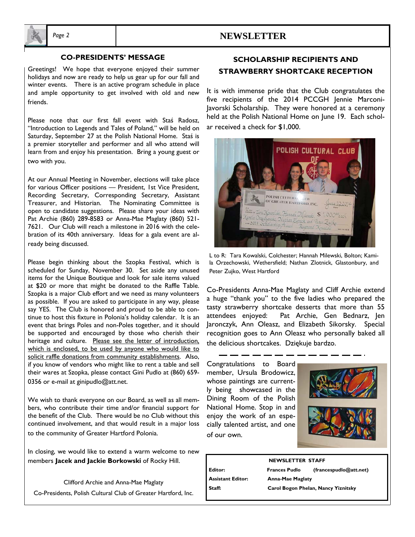

## *Page 2* **NEWSLETTER**

### **CO-PRESIDENTS' MESSAGE**

Greetings! We hope that everyone enjoyed their summer holidays and now are ready to help us gear up for our fall and winter events. There is an active program schedule in place and ample opportunity to get involved with old and new friends.

Please note that our first fall event with Staś Radosz, "Introduction to Legends and Tales of Poland," will be held on Saturday, September 27 at the Polish National Home. Staś is a premier storyteller and performer and all who attend will learn from and enjoy his presentation. Bring a young guest or two with you.

At our Annual Meeting in November, elections will take place for various Officer positions — President, 1st Vice President, Recording Secretary, Corresponding Secretary, Assistant Treasurer, and Historian. The Nominating Committee is open to candidate suggestions. Please share your ideas with Pat Archie (860) 289-8583 or Anna-Mae Maglaty (860) 521- 7621. Our Club will reach a milestone in 2016 with the celebration of its 40th anniversary. Ideas for a gala event are already being discussed.

Please begin thinking about the Szopka Festival, which is scheduled for Sunday, November 30. Set aside any unused items for the Unique Boutique and look for sale items valued at \$20 or more that might be donated to the Raffle Table. Szopka is a major Club effort and we need as many volunteers as possible. If you are asked to participate in any way, please say YES. The Club is honored and proud to be able to continue to host this fixture in Polonia's holiday calendar. It is an event that brings Poles and non-Poles together, and it should be supported and encouraged by those who cherish their heritage and culture. Please see the letter of introduction. which is enclosed, to be used by anyone who would like to solicit raffle donations from community establishments. Also, if you know of vendors who might like to rent a table and sell their wares at Szopka, please contact Gini Pudlo at (860) 659- 0356 or e-mail at ginipudlo@att.net.

We wish to thank everyone on our Board, as well as all members, who contribute their time and/or financial support for the benefit of the Club. There would be no Club without this continued involvement, and that would result in a major loss to the community of Greater Hartford Polonia.

In closing, we would like to extend a warm welcome to new members **Jacek and Jackie Borkowski** of Rocky Hill.

Clifford Archie and Anna-Mae Maglaty Co-Presidents, Polish Cultural Club of Greater Hartford, Inc.

# **SCHOLARSHIP RECIPIENTS AND STRAWBERRY SHORTCAKE RECEPTION**

It is with immense pride that the Club congratulates the five recipients of the 2014 PCCGH Jennie Marconi-Javorski Scholarship. They were honored at a ceremony held at the Polish National Home on June 19. Each scholar received a check for \$1,000.



L to R: Tara Kowalski, Colchester; Hannah Milewski, Bolton; Kamila Orzechowski, Wethersfield; Nathan Zlotnick, Glastonbury, and Peter Zujko, West Hartford

Co-Presidents Anna-Mae Maglaty and Cliff Archie extend a huge "thank you" to the five ladies who prepared the tasty strawberry shortcake desserts that more than 55 attendees enjoyed: Pat Archie, Gen Bednarz, Jen Jaronczyk, Ann Oleasz, and Elizabeth Sikorsky. Special recognition goes to Ann Oleasz who personally baked all the delicious shortcakes. Dziękuje bardzo.

Congratulations to Board member, Ursula Brodowicz, whose paintings are currently being showcased in the Dining Room of the Polish National Home. Stop in and enjoy the work of an especially talented artist, and one of our own.





**NEWSLETTER STAFF Editor: Frances Pudlo (francespudlo@att.net) Assistant Editor: Anna-Mae Maglaty Staff: Carol Bogon Phelan, Nancy Yiznitsky**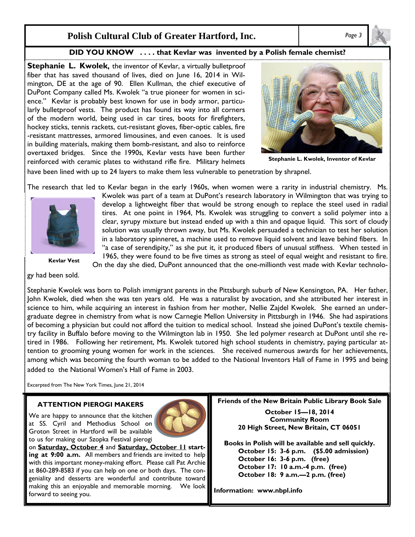## **Polish Cultural Club of Greater Hartford, Inc.** *Page 3*

### **DID YOU KNOW . . . . that Kevlar was invented by a Polish female chemist?**

**Stephanie L. Kwolek,** the inventor of Kevlar, a virtually bulletproof fiber that has saved thousand of lives, died on June 16, 2014 in Wilmington, DE at the age of 90. Ellen Kullman, the chief executive of DuPont Company called Ms. Kwolek "a true pioneer for women in science." Kevlar is probably best known for use in body armor, particularly bulletproof vests. The product has found its way into all corners of the modern world, being used in car tires, boots for firefighters, hockey sticks, tennis rackets, cut-resistant gloves, fiber-optic cables, fire -resistant mattresses, armored limousines, and even canoes. It is used in building materials, making them bomb-resistant, and also to reinforce overtaxed bridges. Since the 1990s, Kevlar vests have been further reinforced with ceramic plates to withstand rifle fire. Military helmets



**Stephanie L. Kwolek, Inventor of Kevlar** 

have been lined with up to 24 layers to make them less vulnerable to penetration by shrapnel.

The research that led to Kevlar began in the early 1960s, when women were a rarity in industrial chemistry. Ms.



**Kevlar Vest** 

gy had been sold.

in a laboratory spinneret, a machine used to remove liquid solvent and leave behind fibers. In "a case of serendipity," as she put it, it produced fibers of unusual stiffness. When tested in 1965, they were found to be five times as strong as steel of equal weight and resistant to fire.

Kwolek was part of a team at DuPont's research laboratory in Wilmington that was trying to develop a lightweight fiber that would be strong enough to replace the steel used in radial tires. At one point in 1964, Ms. Kwolek was struggling to convert a solid polymer into a clear, syrupy mixture but instead ended up with a thin and opaque liquid. This sort of cloudy solution was usually thrown away, but Ms. Kwolek persuaded a technician to test her solution

On the day she died, DuPont announced that the one-millionth vest made with Kevlar technolo-

Stephanie Kwolek was born to Polish immigrant parents in the Pittsburgh suburb of New Kensington, PA. Her father, John Kwolek, died when she was ten years old. He was a naturalist by avocation, and she attributed her interest in science to him, while acquiring an interest in fashion from her mother, Nellie Zajdel Kwolek. She earned an undergraduate degree in chemistry from what is now Carnegie Mellon University in Pittsburgh in 1946. She had aspirations of becoming a physician but could not afford the tuition to medical school. Instead she joined DuPont's textile chemistry facility in Buffalo before moving to the Wilmington lab in 1950. She led polymer research at DuPont until she retired in 1986. Following her retirement, Ms. Kwolek tutored high school students in chemistry, paying particular attention to grooming young women for work in the sciences. She received numerous awards for her achievements, among which was becoming the fourth woman to be added to the National Inventors Hall of Fame in 1995 and being added to the National Women's Hall of Fame in 2003.

Excerpted from The New York Times, June 21, 2014

### **ATTENTION PIEROGI MAKERS**

We are happy to announce that the kitchen at SS. Cyril and Methodius School on Groton Street in Hartford will be available to us for making our Szopka Festival pierogi



on **Saturday, October 4** and **Saturday, October 11 starting at 9:00 a.m.** All members and friends are invited to help with this important money-making effort. Please call Pat Archie at 860-289-8583 if you can help on one or both days. The congeniality and desserts are wonderful and contribute toward making this an enjoyable and memorable morning. We look forward to seeing you.

**Friends of the New Britain Public Library Book Sale** 

**October 15—18, 2014 Community Room 20 High Street, New Britain, CT 06051** 

**Books in Polish will be available and sell quickly. October 15: 3-6 p.m. (\$5.00 admission) October 16: 3-6 p.m. (free) October 17: 10 a.m.-4 p.m. (free) October 18: 9 a.m.—2 p.m. (free)** 

**Information: www.nbpl.info**